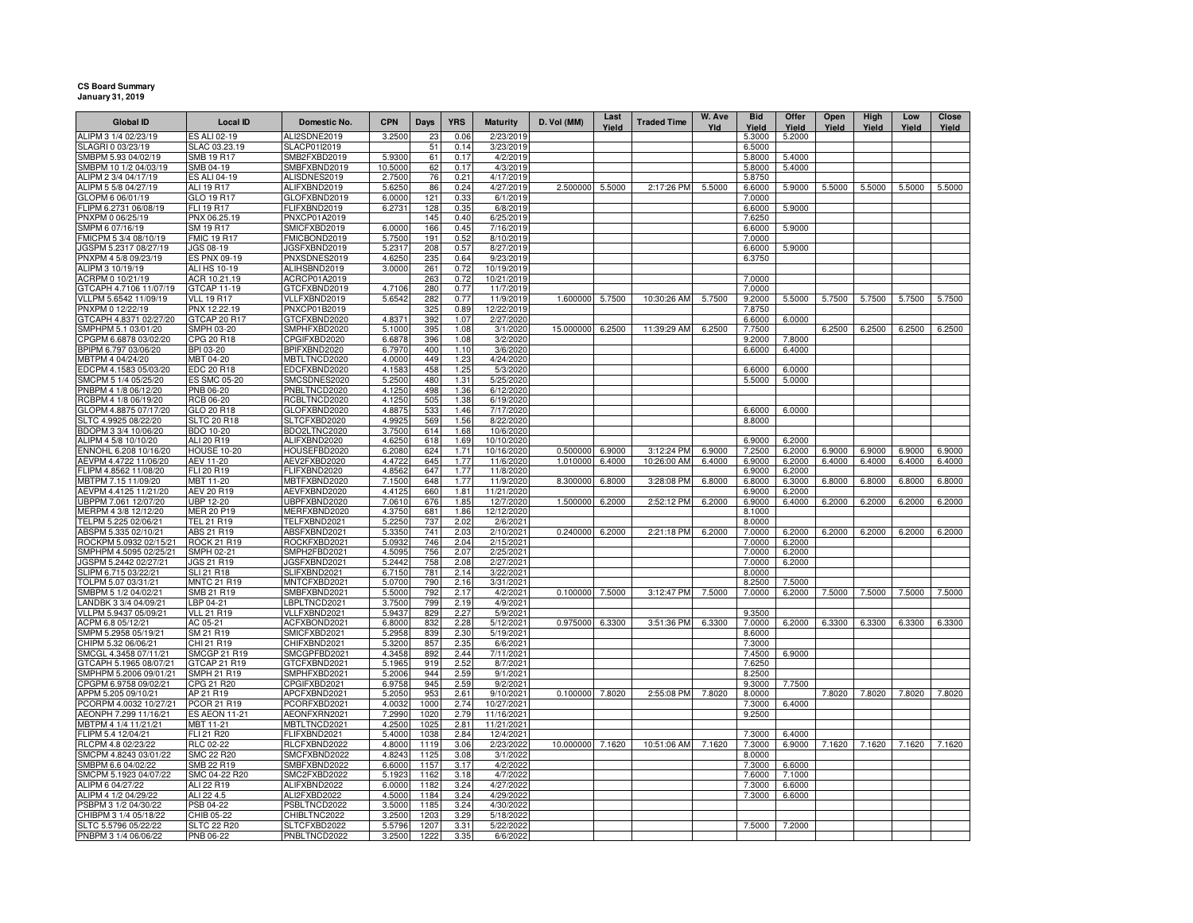## **CS Board Summary January 31, 2019**

| <b>Global ID</b>                                | <b>Local ID</b>                         | Domestic No.                 | <b>CPN</b>       | Days         | <b>YRS</b>   | <b>Maturity</b>          | D. Vol (MM)          | Last<br>Yield | <b>Traded Time</b> | W. Ave<br>Yld | <b>Bid</b><br>Yield | Offer<br>Yield   | Open<br>Yield    | High<br>Yield | Low<br>Yield | Close<br>Yield |
|-------------------------------------------------|-----------------------------------------|------------------------------|------------------|--------------|--------------|--------------------------|----------------------|---------------|--------------------|---------------|---------------------|------------------|------------------|---------------|--------------|----------------|
| ALIPM 3 1/4 02/23/19                            | ES ALI 02-19                            | ALI2SDNE2019                 | 3.2500           | 23           | 0.06         | 2/23/2019                |                      |               |                    |               | 5.3000              | 5.2000           |                  |               |              |                |
| SLAGRI 0 03/23/19                               | SLAC 03.23.19                           | SLACP01I2019                 |                  | 51           | 0.14         | 3/23/2019                |                      |               |                    |               | 6.5000              |                  |                  |               |              |                |
| SMBPM 5.93 04/02/19                             | SMB 19 R17                              | SMB2FXBD2019                 | 5.9300           | 61           | 0.17         | 4/2/2019                 |                      |               |                    |               | 5.8000              | 5.4000           |                  |               |              |                |
| SMBPM 10 1/2 04/03/19                           | SMB 04-19                               | SMBFXBND2019                 | 10.5000          | 62           | 0.17         | 4/3/2019                 |                      |               |                    |               | 5.8000              | 5.4000           |                  |               |              |                |
| ALIPM 2 3/4 04/17/19                            | <b>ES ALI 04-19</b>                     | ALISDNES2019                 | 2.7500           | 76           | 0.21         | 4/17/2019                |                      |               |                    |               | 5.8750              |                  |                  |               |              |                |
| ALIPM 5 5/8 04/27/19                            | ALI 19 R17                              | ALIFXBND2019                 | 5.625            | 86           | 0.24         | 4/27/2019                | 2.500000             | 5.5000        | 2:17:26 PM         | 5.5000        | 6.6000              | 5.9000           | 5.5000           | 5.5000        | 5.5000       | 5.5000         |
| GLOPM 6 06/01/19<br>FLIPM 6.2731 06/08/19       | GLO 19 R17<br>FLI 19 R17                | GLOFXBND2019<br>FLIFXBND2019 | 6,0000<br>6.2731 | 121<br>128   | 0.33<br>0.35 | 6/1/2019<br>6/8/2019     |                      |               |                    |               | 7.0000              | 5.9000           |                  |               |              |                |
| PNXPM 0 06/25/19                                | PNX 06.25.19                            | PNXCP01A2019                 |                  | 145          | 0.40         | 6/25/2019                |                      |               |                    |               | 6.6000<br>7.6250    |                  |                  |               |              |                |
| SMPM 6 07/16/19                                 | SM 19 R17                               | SMICFXBD2019                 | 6.0000           | 166          | 0.45         | 7/16/2019                |                      |               |                    |               | 6.6000              | 5.9000           |                  |               |              |                |
| FMICPM 5 3/4 08/10/19                           | <b>FMIC 19 R17</b>                      | FMICBOND2019                 | 5.750            | 191          | 0.52         | 8/10/2019                |                      |               |                    |               | 7.0000              |                  |                  |               |              |                |
| JGSPM 5.2317 08/27/19                           | JGS 08-19                               | JGSFXBND2019                 | 5.2317           | 208          | 0.57         | 8/27/2019                |                      |               |                    |               | 6.6000              | 5.9000           |                  |               |              |                |
| PNXPM 4 5/8 09/23/19                            | ES PNX 09-19                            | PNXSDNES2019                 | 4.6250           | 235          | 0.64         | 9/23/2019                |                      |               |                    |               | 6.3750              |                  |                  |               |              |                |
| ALIPM 3 10/19/19                                | ALI HS 10-19                            | ALIHSBND2019                 | 3.0000           | 261          | 0.72         | 10/19/2019               |                      |               |                    |               |                     |                  |                  |               |              |                |
| ACRPM 0 10/21/19                                | ACR 10.21.19                            | ACRCP01A2019                 |                  | 263          | 0.72         | 10/21/2019               |                      |               |                    |               | 7.0000              |                  |                  |               |              |                |
| GTCAPH 4.7106 11/07/19                          | GTCAP 11-19                             | GTCFXBND2019                 | 4.7106           | 280          | 0.77         | 11/7/2019                |                      |               |                    |               | 7.0000              |                  |                  |               |              |                |
| VLLPM 5.6542 11/09/19                           | <b>VLL 19 R17</b>                       | VLLFXBND2019                 | 5.6542           | 282          | 0.77         | 11/9/2019                | 1.600000             | 5.7500        | 10:30:26 AM        | 5.7500        | 9.2000              | 5.5000           | 5.7500           | 5.7500        | 5.7500       | 5.7500         |
| PNXPM 0 12/22/19                                | PNX 12.22.19                            | PNXCP01B2019                 |                  | 325          | 0.89         | 12/22/2019               |                      |               |                    |               | 7.8750              |                  |                  |               |              |                |
| GTCAPH 4.8371 02/27/20                          | GTCAP 20 R17                            | GTCFXBND2020                 | 4.8371           | 392          | 1.07         | 2/27/2020                |                      |               |                    |               | 6.6000              | 6.0000           |                  | 6.2500        |              |                |
| SMPHPM 5.1 03/01/20<br>CPGPM 6.6878 03/02/20    | SMPH 03-20<br>CPG 20 R18                | SMPHFXBD2020<br>CPGIFXBD2020 | 5.1000<br>6.6878 | 395<br>396   | 1.08<br>1.08 | 3/1/2020<br>3/2/2020     | 15.000000            | 6.2500        | 11:39:29 AM        | 6.2500        | 7.7500<br>9.2000    | 7.8000           | 6.2500           |               | 6.2500       | 6.2500         |
| BPIPM 6.797 03/06/20                            | <b>BPI 03-20</b>                        | BPIFXBND2020                 | 6.7970           | 400          | 1.10         | 3/6/2020                 |                      |               |                    |               | 6.6000              | 6.4000           |                  |               |              |                |
| MBTPM 4 04/24/20                                | MBT 04-20                               | MBTLTNCD2020                 | 4.0000           | 449          | 1.23         | 4/24/2020                |                      |               |                    |               |                     |                  |                  |               |              |                |
| EDCPM 4.1583 05/03/20                           | EDC 20 R18                              | EDCFXBND2020                 | 4.158            | 458          | 1.25         | 5/3/2020                 |                      |               |                    |               | 6.6000              | 6.0000           |                  |               |              |                |
| SMCPM 5 1/4 05/25/20                            | <b>ES SMC 05-20</b>                     | SMCSDNES2020                 | 5.2500           | 480          | 1.31         | 5/25/2020                |                      |               |                    |               | 5.5000              | 5.0000           |                  |               |              |                |
| PNBPM 4 1/8 06/12/20                            | PNB 06-20                               | PNBLTNCD2020                 | 4.1250           | 498          | 1.36         | 6/12/2020                |                      |               |                    |               |                     |                  |                  |               |              |                |
| RCBPM 4 1/8 06/19/20                            | <b>RCB 06-20</b>                        | RCBLTNCD2020                 | 4.1250           | 505          | 1.38         | 6/19/2020                |                      |               |                    |               |                     |                  |                  |               |              |                |
| GLOPM 4.8875 07/17/20                           | GLO 20 R18                              | GLOFXBND2020                 | 4.8875           | 533          | 1.46         | 7/17/2020                |                      |               |                    |               | 6.6000              | 6.0000           |                  |               |              |                |
| SLTC 4.9925 08/22/20                            | <b>SLTC 20 R18</b>                      | SLTCFXBD2020                 | 4.9925           | 569          | 1.56         | 8/22/2020                |                      |               |                    |               | 8.8000              |                  |                  |               |              |                |
| BDOPM 3 3/4 10/06/20                            | BDO 10-20                               | BDO2LTNC2020                 | 3.7500           | 614          | 1.68         | 10/6/2020                |                      |               |                    |               |                     |                  |                  |               |              |                |
| ALIPM 4 5/8 10/10/20                            | ALI 20 R19                              | ALIFXBND2020                 | 4.6250           | 618          | 1.69         | 10/10/2020               |                      |               |                    |               | 6.9000              | 6.2000           |                  |               |              |                |
| ENNOHL 6.208 10/16/20                           | <b>HOUSE 10-20</b>                      | HOUSEFBD2020                 | 6.2080           | 624          | 1.71         | 10/16/2020               | 0.500000<br>1.010000 | 6.9000        | 3:12:24 PM         | 6.9000        | 7.2500              | 6.2000           | 6.9000<br>6.4000 | 6.9000        | 6.9000       | 6.9000         |
| AEVPM 4.4722 11/06/20<br>FLIPM 4.8562 11/08/20  | AEV 11-20<br>FLI 20 R19                 | AEV2FXBD2020<br>FLIFXBND2020 | 4.4722<br>4.8562 | 645<br>647   | 1.77<br>1.77 | 11/6/2020<br>11/8/2020   |                      | 6.4000        | 10:26:00 AM        | 6.4000        | 6.9000<br>6.9000    | 6.2000<br>6.2000 |                  | 6.4000        | 6.4000       | 6.4000         |
| MBTPM 7.15 11/09/20                             | MBT 11-20                               | MBTFXBND2020                 | 7.1500           | 648          | 1.77         | 11/9/2020                | 8.300000             | 6.8000        | 3:28:08 PM         | 6.8000        | 6.8000              | 6.3000           | 6.8000           | 6.8000        | 6.8000       | 6.8000         |
| AEVPM 4.4125 11/21/20                           | AEV 20 R19                              | AEVFXBND2020                 | 4.4125           | 660          | 1.81         | 11/21/2020               |                      |               |                    |               | 6.9000              | 6.2000           |                  |               |              |                |
| UBPPM 7.061 12/07/20                            | UBP 12-20                               | UBPFXBND2020                 | 7.0610           | 676          | 1.85         | 12/7/2020                | 1.500000             | 6.2000        | 2:52:12 PM         | 6.2000        | 6.9000              | 6.4000           | 6.2000           | 6.2000        | 6.2000       | 6.2000         |
| MERPM 4 3/8 12/12/20                            | <b>MER 20 P19</b>                       | MERFXBND2020                 | 4.3750           | 681          | 1.86         | 12/12/2020               |                      |               |                    |               | 8.1000              |                  |                  |               |              |                |
| TELPM 5.225 02/06/21                            | TEL 21 R19                              | TELFXBND2021                 | 5.2250           | 737          | 2.02         | 2/6/2021                 |                      |               |                    |               | 8.0000              |                  |                  |               |              |                |
| ABSPM 5.335 02/10/21                            | ABS 21 R19                              | ABSFXBND2021                 | 5.3350           | 741          | 2.03         | 2/10/2021                | 0.240000             | 6.2000        | 2:21:18 PM         | 6.2000        | 7.0000              | 6.2000           | 6.2000           | 6.2000        | 6.2000       | 6.2000         |
| ROCKPM 5.0932 02/15/21                          | <b>ROCK 21 R19</b>                      | ROCKFXBD2021                 | 5.0932           | 746          | 2.04         | 2/15/2021                |                      |               |                    |               | 7.0000              | 6.2000           |                  |               |              |                |
| SMPHPM 4.5095 02/25/21                          | SMPH 02-21                              | SMPH2FBD2021                 | 4.5095           | 756          | 2.07         | 2/25/2021                |                      |               |                    |               | 7.0000              | 6.2000           |                  |               |              |                |
| JGSPM 5.2442 02/27/21                           | <b>JGS 21 R19</b>                       | JGSFXBND2021                 | 5.2442           | 758          | 2.08         | 2/27/2021                |                      |               |                    |               | 7.0000              | 6.2000           |                  |               |              |                |
| SLIPM 6.715 03/22/21<br>TOLPM 5.07 03/31/21     | <b>SLI 21 R18</b><br><b>MNTC 21 R19</b> | SLIFXBND2021<br>MNTCFXBD2021 | 6.7150<br>5.0700 | 781<br>790   | 2.14<br>2.16 | 3/22/2021<br>3/31/2021   |                      |               |                    |               | 8.0000<br>8.2500    |                  |                  |               |              |                |
| SMBPM 5 1/2 04/02/21                            | SMB 21 R19                              | SMBFXBND2021                 | 5.5000           | 792          | 2.17         | 4/2/2021                 | 0.100000             | 7.5000        | 3:12:47 PM         | 7.5000        | 7.0000              | 7.5000<br>6.2000 | 7.5000           | 7.5000        | 7.5000       | 7.5000         |
| LANDBK 3 3/4 04/09/21                           | LBP 04-21                               | LBPLTNCD2021                 | 3.7500           | 799          | 2.19         | 4/9/2021                 |                      |               |                    |               |                     |                  |                  |               |              |                |
| VLLPM 5.9437 05/09/21                           | <b>VLL 21 R19</b>                       | VLLFXBND2021                 | 5.9437           | 829          | 2.27         | 5/9/2021                 |                      |               |                    |               | 9.3500              |                  |                  |               |              |                |
| ACPM 6.8 05/12/21                               | AC 05-21                                | ACFXBOND2021                 | 6.8000           | 832          | 2.28         | 5/12/2021                | 0.975000             | 6.3300        | 3:51:36 PM         | 6.3300        | 7.0000              | 6.2000           | 6.3300           | 6.3300        | 6.3300       | 6.3300         |
| SMPM 5.2958 05/19/21                            | SM 21 R19                               | SMICFXBD2021                 | 5.2958           | 839          | 2.30         | 5/19/2021                |                      |               |                    |               | 8.6000              |                  |                  |               |              |                |
| CHIPM 5.32 06/06/21                             | CHI 21 R19                              | CHIFXBND2021                 | 5.3200           | 857          | 2.35         | 6/6/2021                 |                      |               |                    |               | 7.3000              |                  |                  |               |              |                |
| SMCGL 4.3458 07/11/21                           | SMCGP 21 R19                            | SMCGPFBD2021                 | 4.3458           | 892          | 2.44         | 7/11/2021                |                      |               |                    |               | 7.4500              | 6.9000           |                  |               |              |                |
| GTCAPH 5.1965 08/07/21                          | GTCAP 21 R19                            | GTCFXBND2021                 | 5.1965           | 919          | 2.52         | 8/7/2021                 |                      |               |                    |               | 7.6250              |                  |                  |               |              |                |
| SMPHPM 5.2006 09/01/21                          | SMPH 21 R19                             | SMPHFXBD2021                 | 5.2006           | 944          | 2.59         | 9/1/202                  |                      |               |                    |               | 8.2500              |                  |                  |               |              |                |
| CPGPM 6.9758 09/02/21                           | CPG 21 R20                              | CPGIFXBD2021                 | 6.9758           | 945          | 2.59         | 9/2/2021                 |                      |               |                    |               | 9.3000              | 7.7500           |                  |               |              |                |
| APPM 5.205 09/10/21                             | AP 21 R19                               | APCFXBND2021                 | 5.2050           | 953          | 2.61<br>2.74 | 9/10/2021                | 0.100000             | 7.8020        | 2:55:08 PM         | 7.8020        | 8.0000              | 6.4000           | 7.8020           | 7.8020        | 7.8020       | 7.8020         |
| PCORPM 4.0032 10/27/21<br>AEONPH 7.299 11/16/21 | PCOR 21 R19<br><b>ES AEON 11-21</b>     | PCORFXBD2021<br>AEONFXRN2021 | 4.0032<br>7.2990 | 1000<br>1020 | 2.79         | 10/27/2021<br>11/16/2021 |                      |               |                    |               | 7.3000<br>9.2500    |                  |                  |               |              |                |
| MBTPM 4 1/4 11/21/21                            | MBT 11-21                               | MBTLTNCD2021                 | 4.2500           | 1025         | 2.81         | 11/21/2021               |                      |               |                    |               |                     |                  |                  |               |              |                |
| FLIPM 5.4 12/04/21                              | FLI 21 R20                              | FLIFXBND2021                 | 5.4000           | 1038         | 2.84         | 12/4/2021                |                      |               |                    |               | 7.3000              | 6.4000           |                  |               |              |                |
| RLCPM 4.8 02/23/22                              | <b>RLC 02-22</b>                        | RLCFXBND2022                 | 4.8000           | 1119         | 3.06         | 2/23/2022                | 10.000000            | 7.1620        | 10:51:06 AM        | 7.1620        | 7.3000              | 6.9000           | 7.1620           | 7.1620        | 7.1620       | 7.1620         |
| SMCPM 4.8243 03/01/22                           | <b>SMC 22 R20</b>                       | SMCFXBND2022                 | 4.824            | 1125         | 3.08         | 3/1/2022                 |                      |               |                    |               | 8.0000              |                  |                  |               |              |                |
| SMBPM 6.6 04/02/22                              | SMB 22 R19                              | SMBFXBND2022                 | 6.600            | 1157         | 3.17         | 4/2/2022                 |                      |               |                    |               | 7.3000              | 6.6000           |                  |               |              |                |
| SMCPM 5.1923 04/07/22                           | SMC 04-22 R20                           | SMC2FXBD2022                 | 5.192            | 1162         | 3.18         | 4/7/2022                 |                      |               |                    |               | 7.6000              | 7.1000           |                  |               |              |                |
| ALIPM 6 04/27/22                                | ALI 22 R19                              | ALIFXBND2022                 | 6.0000           | 1182         | 3.24         | 4/27/2022                |                      |               |                    |               | 7.3000              | 6.6000           |                  |               |              |                |
| ALIPM 4 1/2 04/29/22                            | ALI 22 4.5                              | ALI2FXBD2022                 | 4.5000           | 1184         | 3.24         | 4/29/2022                |                      |               |                    |               | 7.3000              | 6.6000           |                  |               |              |                |
| PSBPM 3 1/2 04/30/22                            | PSB 04-22                               | PSBLTNCD2022                 | 3.5000           | 1185         | 3.24         | 4/30/2022                |                      |               |                    |               |                     |                  |                  |               |              |                |
| CHIBPM 3 1/4 05/18/22                           | CHIB 05-22                              | CHIBLTNC2022                 | 3.2500           | 1203         | 3.29         | 5/18/2022                |                      |               |                    |               |                     |                  |                  |               |              |                |
| SLTC 5.5796 05/22/22                            | <b>SLTC 22 R20</b>                      | SLTCFXBD2022                 | 5.5796           | 1207         | 3.31         | 5/22/2022                |                      |               |                    |               | 7.5000              | 7.2000           |                  |               |              |                |
| PNBPM 3 1/4 06/06/22                            | PNB 06-22                               | PNBLTNCD2022                 | 3.2500           | 1222         | 3.35         | 6/6/2022                 |                      |               |                    |               |                     |                  |                  |               |              |                |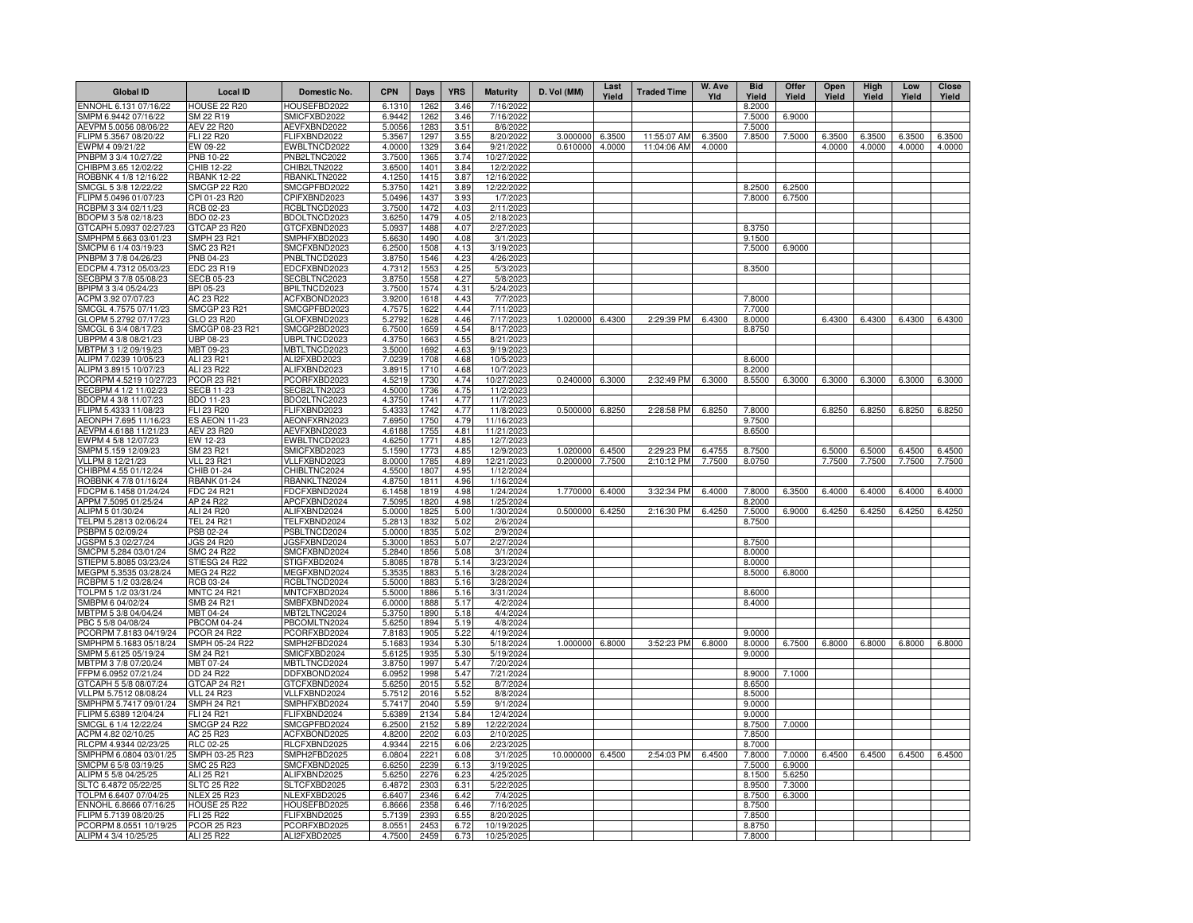| <b>Global ID</b>                                | Local ID                                | Domestic No.                 | <b>CPN</b>       | Days                | <b>YRS</b>   | <b>Maturity</b>         | D. Vol (MM)          | Last<br>Yield | <b>Traded Time</b> | W. Ave<br>Yld    | <b>Bid</b><br>Yield | <b>Offer</b><br>Yield | Open<br>Yield    | High<br>Yield | Low<br>Yield | Close<br>Yield   |
|-------------------------------------------------|-----------------------------------------|------------------------------|------------------|---------------------|--------------|-------------------------|----------------------|---------------|--------------------|------------------|---------------------|-----------------------|------------------|---------------|--------------|------------------|
| ENNOHL 6.131 07/16/22                           | <b>HOUSE 22 R20</b>                     | HOUSEFBD2022                 | 6.1310           | 1262                | 3.46         | 7/16/202                |                      |               |                    |                  | 8.2000              |                       |                  |               |              |                  |
| SMPM 6.9442 07/16/22                            | SM 22 R19                               | SMICFXBD2022                 | 6.9442           | 1262                | 3.46         | 7/16/2022               |                      |               |                    |                  | 7.5000              | 6.9000                |                  |               |              |                  |
| AEVPM 5.0056 08/06/22                           | <b>AEV 22 R20</b>                       | AEVFXBND2022                 | 5.0056           | 1283                | 3.51         | 8/6/2022                |                      |               |                    |                  | 7.5000              |                       |                  |               |              |                  |
| LIPM 5.3567 08/20/22                            | <b>FLI 22 R20</b>                       | FLIFXBND2022                 | 5.3567           | 1297                | 3.55         | 8/20/2022               | 3.000000<br>0.610000 | 6.3500        | 11:55:07 AM        | 6.3500<br>4.0000 | 7.8500              | 7.5000                | 6.3500<br>4.0000 | 6.3500        | 6.3500       | 6.3500<br>4.0000 |
| EWPM 4 09/21/22<br>PNBPM 3 3/4 10/27/22         | EW 09-22<br>PNB 10-22                   | EWBLTNCD2022<br>PNB2LTNC2022 | 4.0000<br>3.7500 | <b>1329</b><br>1365 | 3.64<br>3.74 | 9/21/202<br>10/27/202   |                      | 4.0000        | 11:04:06 AM        |                  |                     |                       |                  | 4.0000        | 4.0000       |                  |
| CHIBPM 3.65 12/02/22                            | CHIB 12-22                              | CHIB2LTN2022                 | 3.6500           | 1401                | 3.84         | 12/2/2022               |                      |               |                    |                  |                     |                       |                  |               |              |                  |
| ROBBNK 4 1/8 12/16/22                           | <b>RBANK 12-22</b>                      | RBANKLTN2022                 | 4.1250           | 1415                | 3.87         | 12/16/2022              |                      |               |                    |                  |                     |                       |                  |               |              |                  |
| SMCGL 5 3/8 12/22/22                            | <b>SMCGP 22 R20</b>                     | SMCGPFBD2022                 | 5.3750           | 1421                | 3.89         | 12/22/2022              |                      |               |                    |                  | 8.2500              | 6.2500                |                  |               |              |                  |
| FLIPM 5.0496 01/07/23                           | CPI 01-23 R20                           | CPIFXBND2023                 | 5.0496           | 1437                | 3.93         | 1/7/2023                |                      |               |                    |                  | 7.8000              | 6.7500                |                  |               |              |                  |
| RCBPM 3 3/4 02/11/23                            | RCB 02-23                               | RCBLTNCD2023                 | 3.7500           | 1472                | 4.03         | 2/11/2023               |                      |               |                    |                  |                     |                       |                  |               |              |                  |
| BDOPM 3 5/8 02/18/23                            | BDO 02-23                               | BDOLTNCD2023                 | 3.6250           | 1479                | 4.05         | 2/18/2023               |                      |               |                    |                  |                     |                       |                  |               |              |                  |
| GTCAPH 5.0937 02/27/23                          | GTCAP 23 R20                            | GTCFXBND2023                 | 5.0937           | 1488                | 4.07         | 2/27/2023               |                      |               |                    |                  | 8.3750              |                       |                  |               |              |                  |
| SMPHPM 5.663 03/01/23                           | <b>SMPH 23 R21</b>                      | SMPHFXBD2023                 | 5.6630           | 1490                | 4.08         | 3/1/2023                |                      |               |                    |                  | 9.1500              |                       |                  |               |              |                  |
| SMCPM 6 1/4 03/19/23                            | SMC 23 R21                              | SMCFXBND2023                 | 6.2500           | 1508                | 4.13         | 3/19/2023               |                      |               |                    |                  | 7.5000              | 6.9000                |                  |               |              |                  |
| PNBPM 3 7/8 04/26/23<br>EDCPM 4.7312 05/03/23   | PNB 04-23<br>EDC 23 R19                 | PNBLTNCD2023<br>EDCFXBND2023 | 3.8750<br>4.7312 | 1546<br>155         | 4.23<br>4.25 | 4/26/2023<br>5/3/202    |                      |               |                    |                  |                     |                       |                  |               |              |                  |
| SECBPM 3 7/8 05/08/23                           | <b>SECB 05-23</b>                       | SECBLTNC2023                 | 3.8750           | 1558                | 4.27         | 5/8/2023                |                      |               |                    |                  | 8.3500              |                       |                  |               |              |                  |
| BPIPM 3 3/4 05/24/23                            | BPI 05-23                               | BPILTNCD2023                 | 3.7500           | 1574                | 4.31         | 5/24/2023               |                      |               |                    |                  |                     |                       |                  |               |              |                  |
| ACPM 3.92 07/07/23                              | AC 23 R22                               | ACFXBOND2023                 | 3.9200           | 1618                | 4.43         | 7/7/2023                |                      |               |                    |                  | 7.8000              |                       |                  |               |              |                  |
| SMCGL 4.7575 07/11/23                           | <b>SMCGP 23 R21</b>                     | SMCGPFBD2023                 | 4.7575           | 1622                | 4.44         | 7/11/2023               |                      |               |                    |                  | 7.7000              |                       |                  |               |              |                  |
| GLOPM 5.2792 07/17/23                           | GLO 23 R20                              | GLOFXBND2023                 | 5.2792           | 1628                | 4.46         | 7/17/2023               | 1.020000             | 6.4300        | 2:29:39 PM         | 6.4300           | 8.0000              |                       | 6.4300           | 6.4300        | 6.4300       | 6.4300           |
| SMCGL 6 3/4 08/17/23                            | SMCGP 08-23 R21                         | SMCGP2BD2023                 | 6.7500           | 1659                | 4.54         | 8/17/2023               |                      |               |                    |                  | 8.8750              |                       |                  |               |              |                  |
| UBPPM 4 3/8 08/21/23                            | UBP 08-23                               | UBPLTNCD2023                 | 4.3750           | 1663                | 4.55         | 8/21/2023               |                      |               |                    |                  |                     |                       |                  |               |              |                  |
| MBTPM 3 1/2 09/19/23                            | MBT 09-23                               | MBTLTNCD2023                 | 3.5000           | 1692                | 4.63         | 9/19/2023               |                      |               |                    |                  |                     |                       |                  |               |              |                  |
| ALIPM 7.0239 10/05/23                           | ALI 23 R21                              | ALI2FXBD2023                 | 7.0239           | 1708                | 4.68         | 10/5/2023               |                      |               |                    |                  | 8.6000              |                       |                  |               |              |                  |
| ALIPM 3.8915 10/07/23<br>CORPM 4.5219 10/27/23  | ALI 23 R22<br><b>PCOR 23 R21</b>        | ALIFXBND2023<br>PCORFXBD2023 | 3.8915<br>4.5219 | 1710<br>1730        | 4.68<br>4.74 | 10/7/2023<br>10/27/2023 | 0.240000             | 6.3000        | 2:32:49 PM         | 6.3000           | 8.2000<br>8.5500    | 6.3000                | 6.3000           | 6.3000        | 6.3000       | 6.3000           |
| SECBPM 4 1/2 11/02/23                           | <b>SECB 11-23</b>                       | SECB2LTN2023                 | 4.5000           | 1736                | 4.75         | 11/2/2023               |                      |               |                    |                  |                     |                       |                  |               |              |                  |
| BDOPM 4 3/8 11/07/23                            | BDO 11-23                               | BDO2LTNC2023                 | 4.3750           | 1741                | 4.77         | 11/7/2023               |                      |               |                    |                  |                     |                       |                  |               |              |                  |
| FLIPM 5.4333 11/08/23                           | FLI 23 R20                              | FLIFXBND2023                 | 5.433            | 1742                | 4.77         | 11/8/2023               | 0.500000             | 6.8250        | 2:28:58 PM         | 6.8250           | 7.8000              |                       | 6.8250           | 6.8250        | 6.8250       | 6.8250           |
| AEONPH 7.695 11/16/23                           | <b>ES AEON 11-23</b>                    | AEONFXRN2023                 | 7.6950           | 1750                | 4.79         | 11/16/2023              |                      |               |                    |                  | 9.7500              |                       |                  |               |              |                  |
| AEVPM 4.6188 11/21/23                           | <b>AEV 23 R20</b>                       | AEVFXBND2023                 | 4.6188           | 1755                | 4.81         | 11/21/2023              |                      |               |                    |                  | 8.6500              |                       |                  |               |              |                  |
| EWPM 4 5/8 12/07/23                             | EW 12-23                                | EWBLTNCD2023                 | 4.6250           | 1771                | 4.85         | 12/7/2023               |                      |               |                    |                  |                     |                       |                  |               |              |                  |
| SMPM 5.159 12/09/23                             | SM 23 R21                               | SMICFXBD2023                 | 5.1590           | 1773                | 4.85         | 12/9/2023               | 1.020000             | 6.4500        | 2:29:23 PM         | 6.4755           | 8.7500              |                       | 6.5000           | 6.5000        | 6.4500       | 6.4500           |
| VLLPM 8 12/21/23                                | <b>VLL 23 R21</b>                       | VLLFXBND2023                 | 8.0000           | 1785                | 4.89         | 12/21/2023              | 0.200000             | 7.7500        | 2:10:12 PM         | 7.7500           | 8.0750              |                       | 7.7500           | 7.7500        | 7.7500       | 7.7500           |
| CHIBPM 4.55 01/12/24                            | CHIB 01-24<br><b>RBANK 01-24</b>        | CHIBLTNC2024<br>RBANKLTN2024 | 4.5500<br>4.8750 | 1807<br>1811        | 4.95<br>4.96 | 1/12/2024<br>1/16/2024  |                      |               |                    |                  |                     |                       |                  |               |              |                  |
| ROBBNK 4 7/8 01/16/24<br>DCPM 6.1458 01/24/24   | FDC 24 R21                              | FDCFXBND2024                 | 6.1458           | 1819                | 4.98         | 1/24/2024               | 1.770000             | 6.4000        | 3:32:34 PM         | 6.4000           | 7.8000              | 6.3500                | 6.4000           | 6.4000        | 6.4000       | 6.4000           |
| APPM 7.5095 01/25/24                            | AP 24 R22                               | APCFXBND2024                 | 7.5095           | 1820                | 4.98         | 1/25/2024               |                      |               |                    |                  | 8.2000              |                       |                  |               |              |                  |
| ALIPM 5 01/30/24                                | ALI 24 R20                              | ALIFXBND2024                 | 5.0000           | 1825                | 5.00         | 1/30/2024               | 0.500000             | 6.4250        | 2:16:30 PM         | 6.4250           | 7.5000              | 6.9000                | 6.4250           | 6.4250        | 6.4250       | 6.4250           |
| TELPM 5.2813 02/06/24                           | <b>TEL 24 R21</b>                       | TELFXBND2024                 | 5.2813           | 1832                | 5.02         | 2/6/2024                |                      |               |                    |                  | 8.7500              |                       |                  |               |              |                  |
| PSBPM 5 02/09/24                                | PSB 02-24                               | PSBLTNCD2024                 | 5.0000           | 1835                | 5.02         | 2/9/2024                |                      |               |                    |                  |                     |                       |                  |               |              |                  |
| JGSPM 5.3 02/27/24                              | <b>JGS 24 R20</b>                       | JGSFXBND2024                 | 5.3000           | 1853                | 5.07         | 2/27/2024               |                      |               |                    |                  | 8.7500              |                       |                  |               |              |                  |
| SMCPM 5.284 03/01/24                            | <b>SMC 24 R22</b>                       | SMCFXBND2024                 | 5.2840           | 1856                | 5.08         | 3/1/2024                |                      |               |                    |                  | 8.0000              |                       |                  |               |              |                  |
| STIEPM 5.8085 03/23/24<br>MEGPM 5.3535 03/28/24 | STIESG 24 R22<br><b>MEG 24 R22</b>      | STIGFXBD2024<br>MEGFXBND2024 | 5.8085<br>5.3535 | 1878<br>1883        | 5.14<br>5.16 | 3/23/2024<br>3/28/2024  |                      |               |                    |                  | 8.0000<br>8.5000    | 6.8000                |                  |               |              |                  |
| RCBPM 5 1/2 03/28/24                            | RCB 03-24                               | RCBLTNCD2024                 | 5.5000           | 1883                | 5.16         | 3/28/2024               |                      |               |                    |                  |                     |                       |                  |               |              |                  |
| TOLPM 5 1/2 03/31/24                            | <b>MNTC 24 R21</b>                      | MNTCFXBD2024                 | 5.5000           | 1886                | 5.16         | 3/31/2024               |                      |               |                    |                  | 8.6000              |                       |                  |               |              |                  |
| SMBPM 6 04/02/24                                | SMB 24 R21                              | SMBFXBND2024                 | 6.0000           | 1888                | 5.17         | 4/2/2024                |                      |               |                    |                  | 8.4000              |                       |                  |               |              |                  |
| MBTPM 5 3/8 04/04/24                            | MBT 04-24                               | MBT2LTNC2024                 | 5.3750           | 1890                | 5.18         | 4/4/2024                |                      |               |                    |                  |                     |                       |                  |               |              |                  |
| PBC 5 5/8 04/08/24                              | <b>PBCOM 04-24</b>                      | PBCOMLTN2024                 | 5.6250           | 1894                | 5.19         | 4/8/2024                |                      |               |                    |                  |                     |                       |                  |               |              |                  |
| PCORPM 7.8183 04/19/24                          | <b>PCOR 24 R22</b>                      | PCORFXBD2024                 | 7.8183           | 1905                | 5.22         | 4/19/2024               |                      |               | 3:52:23 PM         | 6.8000           | 9.0000              |                       |                  | 6.8000        |              |                  |
| SMPHPM 5.1683 05/18/24<br>SMPM 5.6125 05/19/24  | SMPH 05-24 R22<br>SM 24 R21             | SMPH2FBD2024<br>SMICFXBD2024 | 5.1683<br>5.6125 | 1934<br>1935        | 5.30<br>5.30 | 5/18/2024<br>5/19/2024  | 1.000000 6.8000      |               |                    |                  | 8.0000<br>9.0000    | 6.7500                | 6.8000           |               | 6.8000       | 6.8000           |
| ABTPM 3 7/8 07/20/24                            | MBT 07-24                               | MBTLTNCD2024                 | 3.8750           | 1997                | 5.47         | 7/20/2024               |                      |               |                    |                  |                     |                       |                  |               |              |                  |
| FPM 6.0952 07/21/24                             | DD 24 R22                               | DDFXBOND2024                 | 6.0952           | 1998                | 5.47         | 7/21/2024               |                      |               |                    |                  | 8.9000              | 7.1000                |                  |               |              |                  |
| GTCAPH 5 5/8 08/07/24                           | GTCAP 24 R21                            | GTCFXBND2024                 | 5.6250           | 2015                | 5.52         | 8/7/2024                |                      |               |                    |                  | 8.6500              |                       |                  |               |              |                  |
| VLLPM 5.7512 08/08/24                           | <b>VLL 24 R23</b>                       | VLLFXBND2024                 | 5.7512           | 2016                | 5.52         | 8/8/2024                |                      |               |                    |                  | 8.5000              |                       |                  |               |              |                  |
| SMPHPM 5.7417 09/01/24                          | <b>SMPH 24 R21</b>                      | SMPHFXBD2024                 | 5.7417           | 2040                | 5.59         | 9/1/2024                |                      |               |                    |                  | 9.0000              |                       |                  |               |              |                  |
| LIPM 5.6389 12/04/24                            | <b>FLI 24 R21</b>                       | FLIFXBND2024                 | 5.6389           | 2134                | 5.84         | 12/4/2024               |                      |               |                    |                  | 9.0000              |                       |                  |               |              |                  |
| SMCGL 6 1/4 12/22/24<br>ACPM 4.82 02/10/25      | <b>SMCGP 24 R22</b><br>AC 25 R23        | SMCGPFBD2024<br>ACFXBOND2025 | 6.2500<br>4.8200 | 215<br>2202         | 5.89<br>6.03 | 12/22/2024<br>2/10/2025 |                      |               |                    |                  | 8.7500<br>7.8500    | 7.0000                |                  |               |              |                  |
| RLCPM 4.9344 02/23/25                           | <b>RLC 02-25</b>                        | RLCFXBND2025                 | 4.9344           | 2215                | 6.06         | 2/23/2025               |                      |               |                    |                  | 8.7000              |                       |                  |               |              |                  |
| SMPHPM 6.0804 03/01/25                          | SMPH 03-25 R23                          | SMPH2FBD2025                 | 6.0804           | 222                 | 6.08         | 3/1/2025                | 10.000000            | 6.4500        | 2:54:03 PM         | 6.4500           | 7.8000              | 7.0000                | 6.4500           | 6.4500        | 6.4500       | 6.4500           |
| SMCPM 6 5/8 03/19/25                            | SMC 25 R23                              | SMCFXBND2025                 | 6.6250           | 2239                | 6.13         | 3/19/2025               |                      |               |                    |                  | 7.5000              | 6.9000                |                  |               |              |                  |
| ALIPM 5 5/8 04/25/25                            | ALI 25 R21                              | ALIFXBND2025                 | 5.6250           | 2276                | 6.23         | 4/25/2025               |                      |               |                    |                  | 8.1500              | 5.6250                |                  |               |              |                  |
| SLTC 6.4872 05/22/25                            | <b>SLTC 25 R22</b>                      | SLTCFXBD2025                 | 6.4872           | 230                 | 6.31         | 5/22/2025               |                      |               |                    |                  | 8.9500              | 7.3000                |                  |               |              |                  |
| TOLPM 6.6407 07/04/25                           | <b>NLEX 25 R23</b>                      | NLEXFXBD2025                 | 6.6407           | 2346                | 6.42         | 7/4/2025                |                      |               |                    |                  | 8.7500              | 6.3000                |                  |               |              |                  |
| ENNOHL 6.8666 07/16/25                          | <b>HOUSE 25 R22</b>                     | HOUSEFBD2025                 | 6.8666           | 2358                | 6.46         | 7/16/202                |                      |               |                    |                  | 8.7500              |                       |                  |               |              |                  |
| -LIPM 5.7139 08/20/25<br>PCORPM 8.0551 10/19/25 | <b>FLI 25 R22</b><br><b>PCOR 25 R23</b> | FLIFXBND2025<br>PCORFXBD2025 | 5.7139<br>8.0551 | 2393<br>2453        | 6.55<br>6.72 | 8/20/202<br>10/19/202   |                      |               |                    |                  | 7.8500<br>8.8750    |                       |                  |               |              |                  |
| ALIPM 4 3/4 10/25/25                            | ALI 25 R22                              | ALI2FXBD2025                 | 4.7500           | 2459                | 6.73         | 10/25/2025              |                      |               |                    |                  | 7.8000              |                       |                  |               |              |                  |
|                                                 |                                         |                              |                  |                     |              |                         |                      |               |                    |                  |                     |                       |                  |               |              |                  |